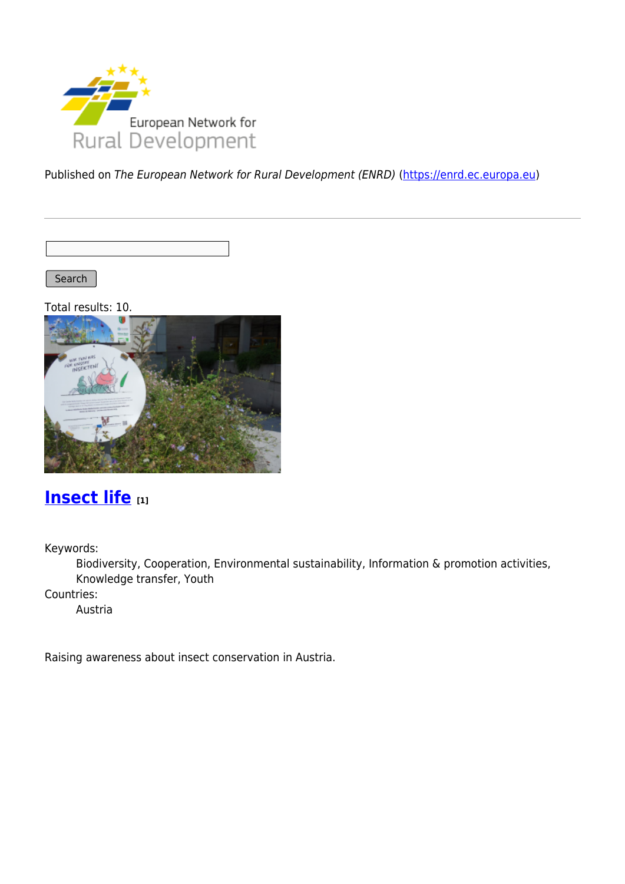

Published on The European Network for Rural Development (ENRD) [\(https://enrd.ec.europa.eu](https://enrd.ec.europa.eu))

Search |

Total results: 10.



### **[Insect life](https://enrd.ec.europa.eu/projects-practice/insect-life_en) [1]**

Keywords:

Biodiversity, Cooperation, Environmental sustainability, Information & promotion activities, Knowledge transfer, Youth

Countries:

Austria

Raising awareness about insect conservation in Austria.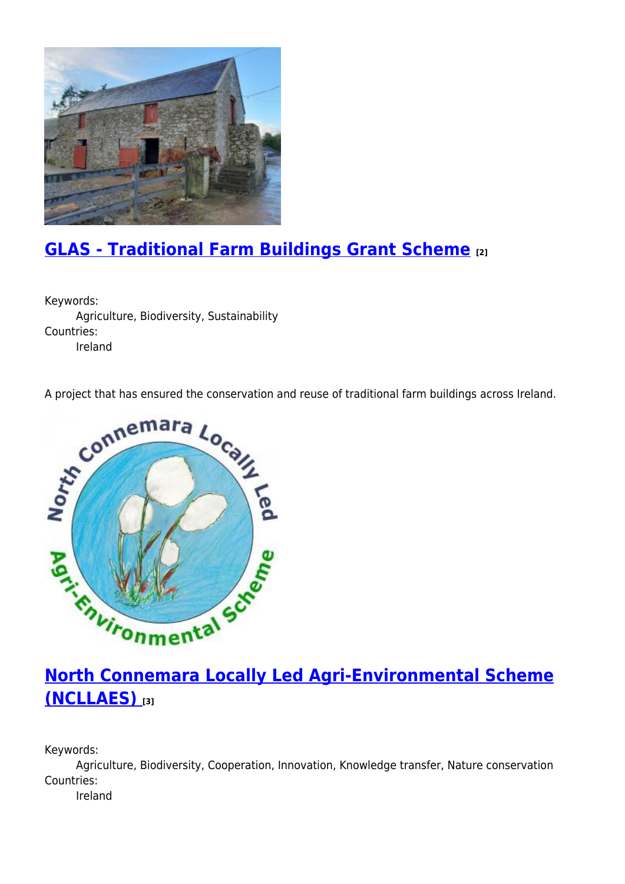

# **[GLAS - Traditional Farm Buildings Grant Scheme](https://enrd.ec.europa.eu/projects-practice/glas-traditional-farm-buildings-grant-scheme_en) [2]**

Keywords: Agriculture, Biodiversity, Sustainability Countries: Ireland

A project that has ensured the conservation and reuse of traditional farm buildings across Ireland.



## **[North Connemara Locally Led Agri-Environmental Scheme](https://enrd.ec.europa.eu/projects-practice/north-connemara-locally-led-agri-environmental-scheme-ncllaes_en) [\(NCLLAES\)](https://enrd.ec.europa.eu/projects-practice/north-connemara-locally-led-agri-environmental-scheme-ncllaes_en) [3]**

Keywords:

Agriculture, Biodiversity, Cooperation, Innovation, Knowledge transfer, Nature conservation Countries:

Ireland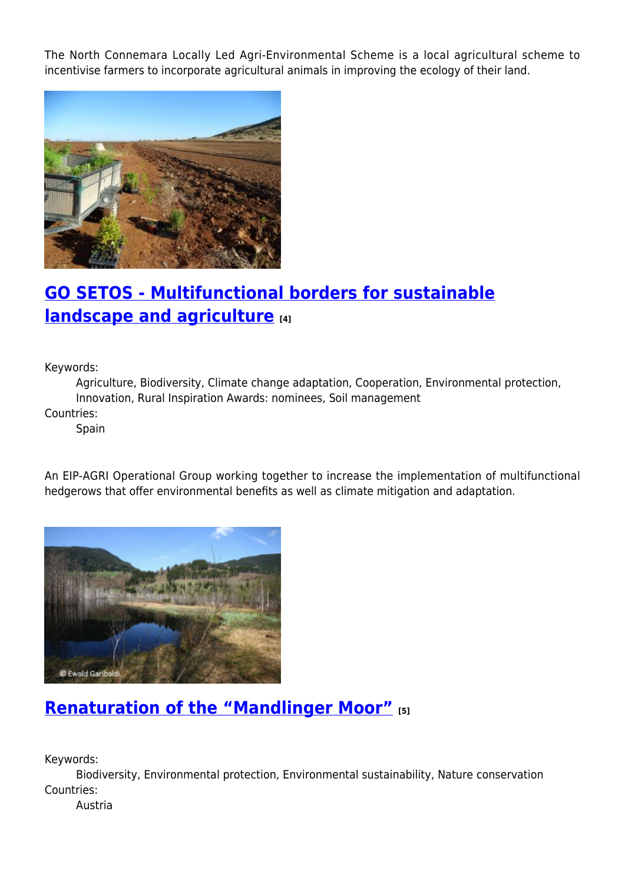The North Connemara Locally Led Agri-Environmental Scheme is a local agricultural scheme to incentivise farmers to incorporate agricultural animals in improving the ecology of their land.



# **[GO SETOS - Multifunctional borders for sustainable](https://enrd.ec.europa.eu/projects-practice/go-setos-multifunctional-borders-sustainable-landscape-and-agriculture_en) [landscape and agriculture](https://enrd.ec.europa.eu/projects-practice/go-setos-multifunctional-borders-sustainable-landscape-and-agriculture_en) [4]**

Keywords:

Agriculture, Biodiversity, Climate change adaptation, Cooperation, Environmental protection, Innovation, Rural Inspiration Awards: nominees, Soil management Countries:

Spain

An EIP-AGRI Operational Group working together to increase the implementation of multifunctional hedgerows that offer environmental benefits as well as climate mitigation and adaptation.



### **[Renaturation of the "Mandlinger Moor"](https://enrd.ec.europa.eu/projects-practice/renaturation-mandlinger-moor_en) [5]**

Keywords:

Biodiversity, Environmental protection, Environmental sustainability, Nature conservation Countries:

Austria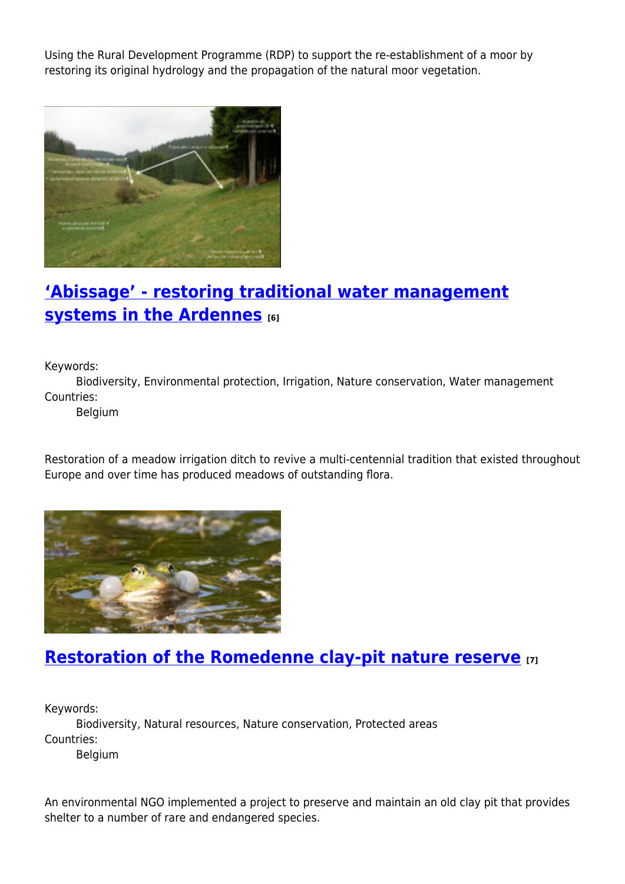Using the Rural Development Programme (RDP) to support the re-establishment of a moor by restoring its original hydrology and the propagation of the natural moor vegetation.



# **['Abissage' - restoring traditional water management](https://enrd.ec.europa.eu/projects-practice/abissage-restoring-traditional-water-management-systems-ardennes_en) [systems in the Ardennes](https://enrd.ec.europa.eu/projects-practice/abissage-restoring-traditional-water-management-systems-ardennes_en) [6]**

Keywords:

Biodiversity, Environmental protection, Irrigation, Nature conservation, Water management Countries:

Belgium

Restoration of a meadow irrigation ditch to revive a multi-centennial tradition that existed throughout Europe and over time has produced meadows of outstanding flora.



#### **[Restoration of the Romedenne clay-pit nature reserve](https://enrd.ec.europa.eu/projects-practice/restoration-romedenne-clay-pit-nature-reserve_en) [7]**

Keywords:

Biodiversity, Natural resources, Nature conservation, Protected areas Countries:

Belgium

An environmental NGO implemented a project to preserve and maintain an old clay pit that provides shelter to a number of rare and endangered species.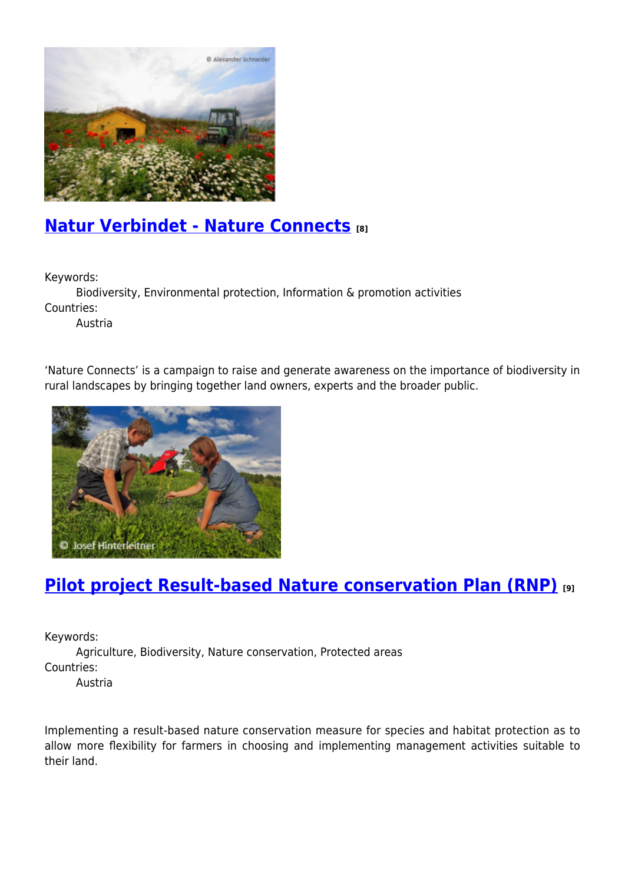

### **[Natur Verbindet - Nature Connects](https://enrd.ec.europa.eu/projects-practice/natur-verbindet-nature-connects_en) [8]**

Keywords:

Biodiversity, Environmental protection, Information & promotion activities Countries:

Austria

'Nature Connects' is a campaign to raise and generate awareness on the importance of biodiversity in rural landscapes by bringing together land owners, experts and the broader public.



## **[Pilot project Result-based Nature conservation Plan \(RNP\)](https://enrd.ec.europa.eu/projects-practice/pilot-project-result-based-nature-conservation-plan-rnp_en) [9]**

Keywords:

Agriculture, Biodiversity, Nature conservation, Protected areas Countries:

Austria

Implementing a result-based nature conservation measure for species and habitat protection as to allow more flexibility for farmers in choosing and implementing management activities suitable to their land.